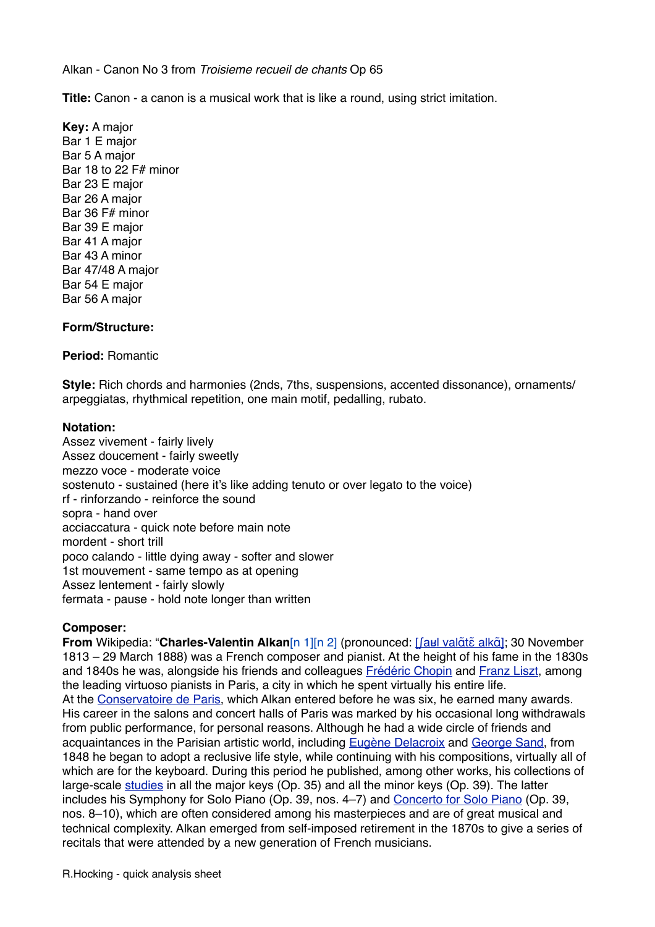Alkan - Canon No 3 from *Troisieme recueil de chants* Op 65

**Title:** Canon - a canon is a musical work that is like a round, using strict imitation.

**Key:** A major Bar 1 E major Bar 5 A major Bar 18 to 22 F# minor Bar 23 E major Bar 26 A major Bar 36 F# minor Bar 39 E major Bar 41 A major Bar 43 A minor Bar 47/48 A major Bar 54 E major Bar 56 A major

## **Form/Structure:**

## **Period:** Romantic

**Style:** Rich chords and harmonies (2nds, 7ths, suspensions, accented dissonance), ornaments/ arpeggiatas, rhythmical repetition, one main motif, pedalling, rubato.

## **Notation:**

Assez vivement - fairly lively Assez doucement - fairly sweetly mezzo voce - moderate voice sostenuto - sustained (here it's like adding tenuto or over legato to the voice) rf - rinforzando - reinforce the sound sopra - hand over acciaccatura - quick note before main note mordent - short trill poco calando - little dying away - softer and slower 1st mouvement - same tempo as at opening Assez lentement - fairly slowly fermata - pause - hold note longer than written

## **Composer:**

**From** Wikipedia: "**Charles-Valentin Alkan**[n 1][n 2] (pronounced: [ʃaʁl valɑ̃tɛ̃[alk](http://en.wikipedia.org/wiki/Help:IPA_for_French)ɑ̃]; 30 November 1813 – 29 March 1888) was a French composer and pianist. At the height of his fame in the 1830s and 1840s he was, alongside his friends and colleagues [Frédéric Chopin](http://en.wikipedia.org/wiki/Fr%C3%A9d%C3%A9ric_Chopin) and [Franz Liszt](http://en.wikipedia.org/wiki/Franz_Liszt), among the leading virtuoso pianists in Paris, a city in which he spent virtually his entire life. At the [Conservatoire de Paris](http://en.wikipedia.org/wiki/Conservatoire_de_Paris), which Alkan entered before he was six, he earned many awards. His career in the salons and concert halls of Paris was marked by his occasional long withdrawals from public performance, for personal reasons. Although he had a wide circle of friends and acquaintances in the Parisian artistic world, including [Eugène Delacroix](http://en.wikipedia.org/wiki/Eug%C3%A8ne_Delacroix) and [George Sand,](http://en.wikipedia.org/wiki/George_Sand) from 1848 he began to adopt a reclusive life style, while continuing with his compositions, virtually all of which are for the keyboard. During this period he published, among other works, his collections of large-scale [studies](http://en.wikipedia.org/wiki/%C3%89tude) in all the major keys (Op. 35) and all the minor keys (Op. 39). The latter includes his Symphony for Solo Piano (Op. 39, nos. 4–7) and [Concerto for Solo Piano](http://en.wikipedia.org/wiki/Concerto_for_Solo_Piano_(Alkan)) (Op. 39, nos. 8–10), which are often considered among his masterpieces and are of great musical and technical complexity. Alkan emerged from self-imposed retirement in the 1870s to give a series of recitals that were attended by a new generation of French musicians.